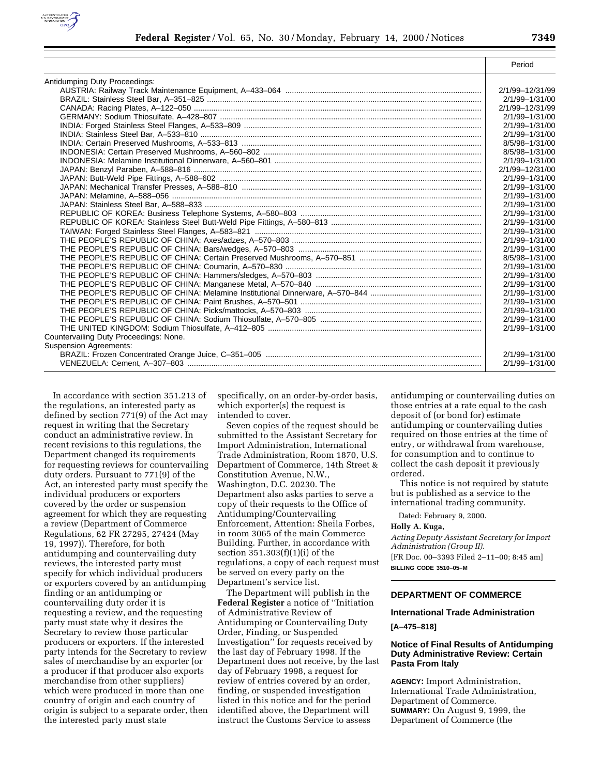

|                                        | Period          |
|----------------------------------------|-----------------|
| Antidumping Duty Proceedings:          |                 |
|                                        | 2/1/99-12/31/99 |
|                                        | 2/1/99-1/31/00  |
|                                        | 2/1/99-12/31/99 |
|                                        | 2/1/99-1/31/00  |
|                                        | 2/1/99-1/31/00  |
|                                        | 2/1/99-1/31/00  |
|                                        | 8/5/98-1/31/00  |
|                                        | 8/5/98-1/31/00  |
|                                        | 2/1/99-1/31/00  |
|                                        | 2/1/99-12/31/00 |
|                                        | 2/1/99-1/31/00  |
|                                        | 2/1/99-1/31/00  |
|                                        | 2/1/99-1/31/00  |
|                                        | 2/1/99-1/31/00  |
|                                        | 2/1/99-1/31/00  |
|                                        | 2/1/99-1/31/00  |
|                                        | 2/1/99-1/31/00  |
|                                        | 2/1/99-1/31/00  |
|                                        | 2/1/99-1/31/00  |
|                                        | 8/5/98-1/31/00  |
|                                        | 2/1/99-1/31/00  |
|                                        | 2/1/99-1/31/00  |
|                                        | 2/1/99-1/31/00  |
|                                        | 2/1/99-1/31/00  |
|                                        | 2/1/99-1/31/00  |
|                                        | 2/1/99-1/31/00  |
|                                        | 2/1/99-1/31/00  |
|                                        | 2/1/99-1/31/00  |
| Countervailing Duty Proceedings: None. |                 |
| <b>Suspension Agreements:</b>          |                 |
|                                        | 2/1/99-1/31/00  |
|                                        | 2/1/99-1/31/00  |
|                                        |                 |

In accordance with section 351.213 of the regulations, an interested party as defined by section 771(9) of the Act may request in writing that the Secretary conduct an administrative review. In recent revisions to this regulations, the Department changed its requirements for requesting reviews for countervailing duty orders. Pursuant to 771(9) of the Act, an interested party must specify the individual producers or exporters covered by the order or suspension agreement for which they are requesting a review (Department of Commerce Regulations, 62 FR 27295, 27424 (May 19, 1997)). Therefore, for both antidumping and countervailing duty reviews, the interested party must specify for which individual producers or exporters covered by an antidumping finding or an antidumping or countervailing duty order it is requesting a review, and the requesting party must state why it desires the Secretary to review those particular producers or exporters. If the interested party intends for the Secretary to review sales of merchandise by an exporter (or a producer if that producer also exports merchandise from other suppliers) which were produced in more than one country of origin and each country of origin is subject to a separate order, then the interested party must state

specifically, on an order-by-order basis, which exporter(s) the request is intended to cover.

Seven copies of the request should be submitted to the Assistant Secretary for Import Administration, International Trade Administration, Room 1870, U.S. Department of Commerce, 14th Street & Constitution Avenue, N.W., Washington, D.C. 20230. The Department also asks parties to serve a copy of their requests to the Office of Antidumping/Countervailing Enforcement, Attention: Sheila Forbes, in room 3065 of the main Commerce Building. Further, in accordance with section 351.303(f)(1)(i) of the regulations, a copy of each request must be served on every party on the Department's service list.

The Department will publish in the **Federal Register** a notice of ''Initiation of Administrative Review of Antidumping or Countervailing Duty Order, Finding, or Suspended Investigation'' for requests received by the last day of February 1998. If the Department does not receive, by the last day of February 1998, a request for review of entries covered by an order, finding, or suspended investigation listed in this notice and for the period identified above, the Department will instruct the Customs Service to assess

antidumping or countervailing duties on those entries at a rate equal to the cash deposit of (or bond for) estimate antidumping or countervailing duties required on those entries at the time of entry, or withdrawal from warehouse, for consumption and to continue to collect the cash deposit it previously ordered.

This notice is not required by statute but is published as a service to the international trading community.

Dated: February 9, 2000.

#### **Holly A. Kuga,**

*Acting Deputy Assistant Secretary for Import Administration (Group II).* [FR Doc. 00–3393 Filed 2–11–00; 8:45 am] **BILLING CODE 3510–05–M**

## **DEPARTMENT OF COMMERCE**

# **International Trade Administration**

**[A–475–818]**

## **Notice of Final Results of Antidumping Duty Administrative Review: Certain Pasta From Italy**

**AGENCY:** Import Administration, International Trade Administration, Department of Commerce. **SUMMARY:** On August 9, 1999, the Department of Commerce (the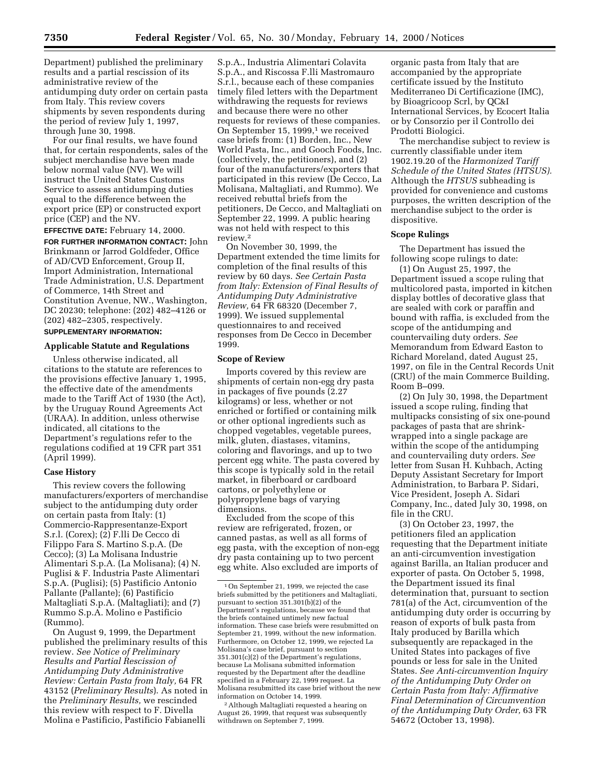Department) published the preliminary results and a partial rescission of its administrative review of the antidumping duty order on certain pasta from Italy. This review covers shipments by seven respondents during the period of review July 1, 1997, through June 30, 1998.

For our final results, we have found that, for certain respondents, sales of the subject merchandise have been made below normal value (NV). We will instruct the United States Customs Service to assess antidumping duties equal to the difference between the export price (EP) or constructed export price (CEP) and the NV.

**EFFECTIVE DATE:** February 14, 2000.

**FOR FURTHER INFORMATION CONTACT:** John Brinkmann or Jarrod Goldfeder, Office of AD/CVD Enforcement, Group II, Import Administration, International Trade Administration, U.S. Department of Commerce, 14th Street and Constitution Avenue, NW., Washington, DC 20230; telephone: (202) 482–4126 or (202) 482–2305, respectively.

## **SUPPLEMENTARY INFORMATION:**

## **Applicable Statute and Regulations**

Unless otherwise indicated, all citations to the statute are references to the provisions effective January 1, 1995, the effective date of the amendments made to the Tariff Act of 1930 (the Act), by the Uruguay Round Agreements Act (URAA). In addition, unless otherwise indicated, all citations to the Department's regulations refer to the regulations codified at 19 CFR part 351 (April 1999).

#### **Case History**

This review covers the following manufacturers/exporters of merchandise subject to the antidumping duty order on certain pasta from Italy: (1) Commercio-Rappresentanze-Export S.r.l. (Corex); (2) F.lli De Cecco di Filippo Fara S. Martino S.p.A. (De Cecco); (3) La Molisana Industrie Alimentari S.p.A. (La Molisana); (4) N. Puglisi & F. Industria Paste Alimentari S.p.A. (Puglisi); (5) Pastificio Antonio Pallante (Pallante); (6) Pastificio Maltagliati S.p.A. (Maltagliati); and (7) Rummo S.p.A. Molino e Pastificio (Rummo).

On August 9, 1999, the Department published the preliminary results of this review. *See Notice of Preliminary Results and Partial Rescission of Antidumping Duty Administrative Review: Certain Pasta from Italy,* 64 FR 43152 (*Preliminary Results*). As noted in the *Preliminary Results,* we rescinded this review with respect to F. Divella Molina e Pastificio, Pastificio Fabianelli

S.p.A., Industria Alimentari Colavita S.p.A., and Riscossa F.lli Mastromauro S.r.l., because each of these companies timely filed letters with the Department withdrawing the requests for reviews and because there were no other requests for reviews of these companies. On September 15, 1999,<sup>1</sup> we received case briefs from: (1) Borden, Inc., New World Pasta, Inc., and Gooch Foods, Inc. (collectively, the petitioners), and (2) four of the manufacturers/exporters that participated in this review (De Cecco, La Molisana, Maltagliati, and Rummo). We received rebuttal briefs from the petitioners, De Cecco, and Maltagliati on September 22, 1999. A public hearing was not held with respect to this review.2

On November 30, 1999, the Department extended the time limits for completion of the final results of this review by 60 days. *See Certain Pasta from Italy: Extension of Final Results of Antidumping Duty Administrative Review,* 64 FR 68320 (December 7, 1999). We issued supplemental questionnaires to and received responses from De Cecco in December 1999.

#### **Scope of Review**

Imports covered by this review are shipments of certain non-egg dry pasta in packages of five pounds (2.27 kilograms) or less, whether or not enriched or fortified or containing milk or other optional ingredients such as chopped vegetables, vegetable purees, milk, gluten, diastases, vitamins, coloring and flavorings, and up to two percent egg white. The pasta covered by this scope is typically sold in the retail market, in fiberboard or cardboard cartons, or polyethylene or polypropylene bags of varying dimensions.

Excluded from the scope of this review are refrigerated, frozen, or canned pastas, as well as all forms of egg pasta, with the exception of non-egg dry pasta containing up to two percent egg white. Also excluded are imports of

2Although Maltagliati requested a hearing on August 26, 1999, that request was subsequently withdrawn on September 7, 1999.

organic pasta from Italy that are accompanied by the appropriate certificate issued by the Instituto Mediterraneo Di Certificazione (IMC), by Bioagricoop Scrl, by QC&I International Services, by Ecocert Italia or by Consorzio per il Controllo dei Prodotti Biologici.

The merchandise subject to review is currently classifiable under item 1902.19.20 of the *Harmonized Tariff Schedule of the United States (HTSUS).* Although the *HTSUS* subheading is provided for convenience and customs purposes, the written description of the merchandise subject to the order is dispositive.

#### **Scope Rulings**

The Department has issued the following scope rulings to date:

(1) On August 25, 1997, the Department issued a scope ruling that multicolored pasta, imported in kitchen display bottles of decorative glass that are sealed with cork or paraffin and bound with raffia, is excluded from the scope of the antidumping and countervailing duty orders. *See* Memorandum from Edward Easton to Richard Moreland, dated August 25, 1997, on file in the Central Records Unit (CRU) of the main Commerce Building, Room B–099.

(2) On July 30, 1998, the Department issued a scope ruling, finding that multipacks consisting of six one-pound packages of pasta that are shrinkwrapped into a single package are within the scope of the antidumping and countervailing duty orders. *See* letter from Susan H. Kuhbach, Acting Deputy Assistant Secretary for Import Administration, to Barbara P. Sidari, Vice President, Joseph A. Sidari Company, Inc., dated July 30, 1998, on file in the CRU.

(3) On October 23, 1997, the petitioners filed an application requesting that the Department initiate an anti-circumvention investigation against Barilla, an Italian producer and exporter of pasta. On October 5, 1998, the Department issued its final determination that, pursuant to section 781(a) of the Act, circumvention of the antidumping duty order is occurring by reason of exports of bulk pasta from Italy produced by Barilla which subsequently are repackaged in the United States into packages of five pounds or less for sale in the United States. *See Anti-circumvention Inquiry of the Antidumping Duty Order on Certain Pasta from Italy: Affirmative Final Determination of Circumvention of the Antidumping Duty Order,* 63 FR 54672 (October 13, 1998).

<sup>1</sup>On September 21, 1999, we rejected the case briefs submitted by the petitioners and Maltagliati, pursuant to section 351.301(b)(2) of the Department's regulations, because we found that the briefs contained untimely new factual information. These case briefs were resubmitted on September 21, 1999, without the new information. Furthermore, on October 12, 1999, we rejected La Molisana's case brief, pursuant to section 351.301(c)(2) of the Department's regulations, because La Molisana submitted information requested by the Department after the deadline specified in a February 22, 1999 request. La Molisana resubmitted its case brief without the new information on October 14, 1999.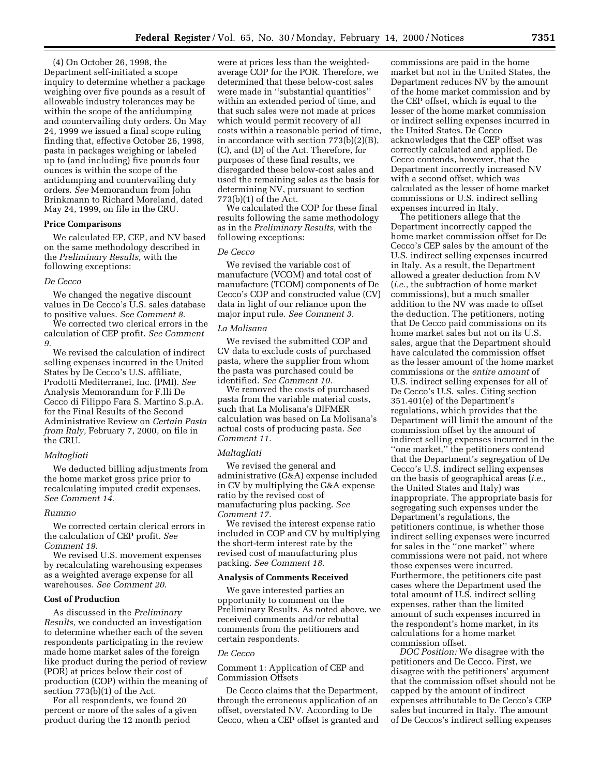(4) On October 26, 1998, the Department self-initiated a scope inquiry to determine whether a package weighing over five pounds as a result of allowable industry tolerances may be within the scope of the antidumping and countervailing duty orders. On May 24, 1999 we issued a final scope ruling finding that, effective October 26, 1998, pasta in packages weighing or labeled up to (and including) five pounds four ounces is within the scope of the antidumping and countervailing duty orders. *See* Memorandum from John Brinkmann to Richard Moreland, dated May 24, 1999, on file in the CRU.

## **Price Comparisons**

We calculated EP, CEP, and NV based on the same methodology described in the *Preliminary Results,* with the following exceptions:

### *De Cecco*

We changed the negative discount values in De Cecco's U.S. sales database to positive values. *See Comment 8*.

We corrected two clerical errors in the calculation of CEP profit. *See Comment 9*.

We revised the calculation of indirect selling expenses incurred in the United States by De Cecco's U.S. affiliate, Prodotti Mediterranei, Inc. (PMI). *See* Analysis Memorandum for F.lli De Cecco di Filippo Fara S. Martino S.p.A. for the Final Results of the Second Administrative Review on *Certain Pasta from Italy,* February 7, 2000, on file in the CRU.

#### *Maltagliati*

We deducted billing adjustments from the home market gross price prior to recalculating imputed credit expenses. *See Comment 14*.

#### *Rummo*

We corrected certain clerical errors in the calculation of CEP profit. *See Comment 19*.

We revised U.S. movement expenses by recalculating warehousing expenses as a weighted average expense for all warehouses. *See Comment 20*.

## **Cost of Production**

As discussed in the *Preliminary Results,* we conducted an investigation to determine whether each of the seven respondents participating in the review made home market sales of the foreign like product during the period of review (POR) at prices below their cost of production (COP) within the meaning of section 773(b)(1) of the Act.

For all respondents, we found 20 percent or more of the sales of a given product during the 12 month period

were at prices less than the weightedaverage COP for the POR. Therefore, we determined that these below-cost sales were made in ''substantial quantities'' within an extended period of time, and that such sales were not made at prices which would permit recovery of all costs within a reasonable period of time, in accordance with section 773(b)(2)(B), (C), and (D) of the Act. Therefore, for purposes of these final results, we disregarded these below-cost sales and used the remaining sales as the basis for determining NV, pursuant to section 773(b)(1) of the Act.

We calculated the COP for these final results following the same methodology as in the *Preliminary Results,* with the following exceptions:

## *De Cecco*

We revised the variable cost of manufacture (VCOM) and total cost of manufacture (TCOM) components of De Cecco's COP and constructed value (CV) data in light of our reliance upon the major input rule. *See Comment 3.*

## *La Molisana*

We revised the submitted COP and CV data to exclude costs of purchased pasta, where the supplier from whom the pasta was purchased could be identified. *See Comment 10.*

We removed the costs of purchased pasta from the variable material costs, such that La Molisana's DIFMER calculation was based on La Molisana's actual costs of producing pasta. *See Comment 11.*

#### *Maltagliati*

We revised the general and administrative (G&A) expense included in CV by multiplying the G&A expense ratio by the revised cost of manufacturing plus packing. *See Comment 17.*

We revised the interest expense ratio included in COP and CV by multiplying the short-term interest rate by the revised cost of manufacturing plus packing. *See Comment 18.*

#### **Analysis of Comments Received**

We gave interested parties an opportunity to comment on the Preliminary Results. As noted above, we received comments and/or rebuttal comments from the petitioners and certain respondents.

#### *De Cecco*

Comment 1: Application of CEP and Commission Offsets

De Cecco claims that the Department, through the erroneous application of an offset, overstated NV. According to De Cecco, when a CEP offset is granted and

commissions are paid in the home market but not in the United States, the Department reduces NV by the amount of the home market commission and by the CEP offset, which is equal to the lesser of the home market commission or indirect selling expenses incurred in the United States. De Cecco acknowledges that the CEP offset was correctly calculated and applied. De Cecco contends, however, that the Department incorrectly increased NV with a second offset, which was calculated as the lesser of home market commissions or U.S. indirect selling expenses incurred in Italy.

The petitioners allege that the Department incorrectly capped the home market commission offset for De Cecco's CEP sales by the amount of the U.S. indirect selling expenses incurred in Italy. As a result, the Department allowed a greater deduction from NV (*i.e.,* the subtraction of home market commissions), but a much smaller addition to the NV was made to offset the deduction. The petitioners, noting that De Cecco paid commissions on its home market sales but not on its U.S. sales, argue that the Department should have calculated the commission offset as the lesser amount of the home market commissions or the *entire amount* of U.S. indirect selling expenses for all of De Cecco's U.S. sales. Citing section 351.401(e) of the Department's regulations, which provides that the Department will limit the amount of the commission offset by the amount of indirect selling expenses incurred in the ''one market,'' the petitioners contend that the Department's segregation of De Cecco's U.S. indirect selling expenses on the basis of geographical areas (*i.e.,* the United States and Italy) was inappropriate. The appropriate basis for segregating such expenses under the Department's regulations, the petitioners continue, is whether those indirect selling expenses were incurred for sales in the ''one market'' where commissions were not paid, not where those expenses were incurred. Furthermore, the petitioners cite past cases where the Department used the total amount of U.S. indirect selling expenses, rather than the limited amount of such expenses incurred in the respondent's home market, in its calculations for a home market commission offset.

*DOC Position:* We disagree with the petitioners and De Cecco. First, we disagree with the petitioners' argument that the commission offset should not be capped by the amount of indirect expenses attributable to De Cecco's CEP sales but incurred in Italy. The amount of De Ceccos's indirect selling expenses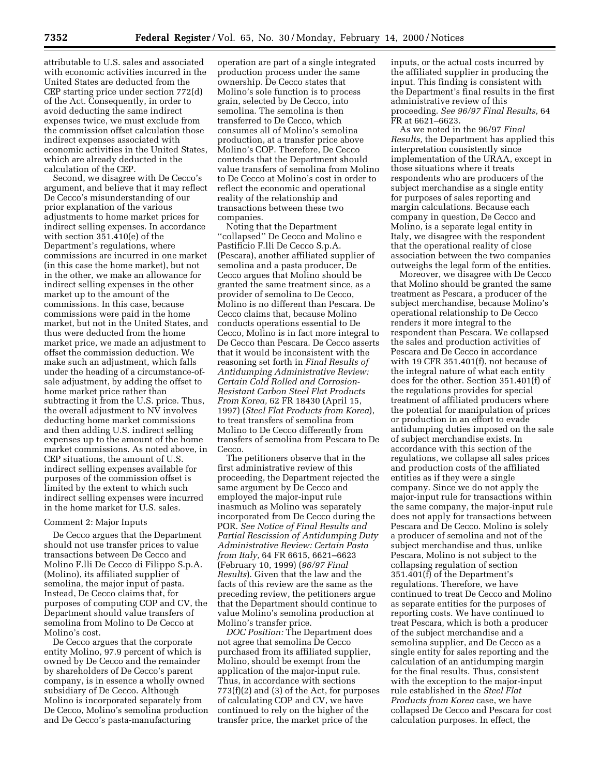attributable to U.S. sales and associated with economic activities incurred in the United States are deducted from the CEP starting price under section 772(d) of the Act. Consequently, in order to avoid deducting the same indirect expenses twice, we must exclude from the commission offset calculation those indirect expenses associated with economic activities in the United States, which are already deducted in the calculation of the CEP.

Second, we disagree with De Cecco's argument, and believe that it may reflect De Cecco's misunderstanding of our prior explanation of the various adjustments to home market prices for indirect selling expenses. In accordance with section 351.410(e) of the Department's regulations, where commissions are incurred in one market (in this case the home market), but not in the other, we make an allowance for indirect selling expenses in the other market up to the amount of the commissions. In this case, because commissions were paid in the home market, but not in the United States, and thus were deducted from the home market price, we made an adjustment to offset the commission deduction. We make such an adjustment, which falls under the heading of a circumstance-ofsale adjustment, by adding the offset to home market price rather than subtracting it from the U.S. price. Thus, the overall adjustment to NV involves deducting home market commissions and then adding U.S. indirect selling expenses up to the amount of the home market commissions. As noted above, in CEP situations, the amount of U.S. indirect selling expenses available for purposes of the commission offset is limited by the extent to which such indirect selling expenses were incurred in the home market for U.S. sales.

#### Comment 2: Major Inputs

De Cecco argues that the Department should not use transfer prices to value transactions between De Cecco and Molino F.lli De Cecco di Filippo S.p.A. (Molino), its affiliated supplier of semolina, the major input of pasta. Instead, De Cecco claims that, for purposes of computing COP and CV, the Department should value transfers of semolina from Molino to De Cecco at Molino's cost.

De Cecco argues that the corporate entity Molino, 97.9 percent of which is owned by De Cecco and the remainder by shareholders of De Cecco's parent company, is in essence a wholly owned subsidiary of De Cecco. Although Molino is incorporated separately from De Cecco, Molino's semolina production and De Cecco's pasta-manufacturing

operation are part of a single integrated production process under the same ownership. De Cecco states that Molino's sole function is to process grain, selected by De Cecco, into semolina. The semolina is then transferred to De Cecco, which consumes all of Molino's semolina production, at a transfer price above Molino's COP. Therefore, De Cecco contends that the Department should value transfers of semolina from Molino to De Cecco at Molino's cost in order to reflect the economic and operational reality of the relationship and transactions between these two companies.

Noting that the Department ''collapsed'' De Cecco and Molino e Pastificio F.lli De Cecco S.p.A. (Pescara), another affiliated supplier of semolina and a pasta producer, De Cecco argues that Molino should be granted the same treatment since, as a provider of semolina to De Cecco, Molino is no different than Pescara. De Cecco claims that, because Molino conducts operations essential to De Cecco, Molino is in fact more integral to De Cecco than Pescara. De Cecco asserts that it would be inconsistent with the reasoning set forth in *Final Results of Antidumping Administrative Review: Certain Cold Rolled and Corrosion-Resistant Carbon Steel Flat Products From Korea,* 62 FR 18430 (April 15, 1997) (*Steel Flat Products from Korea*), to treat transfers of semolina from Molino to De Cecco differently from transfers of semolina from Pescara to De Cecco.

The petitioners observe that in the first administrative review of this proceeding, the Department rejected the same argument by De Cecco and employed the major-input rule inasmuch as Molino was separately incorporated from De Cecco during the POR. *See Notice of Final Results and Partial Rescission of Antidumping Duty Administrative Review: Certain Pasta from Italy,* 64 FR 6615, 6621–6623 (February 10, 1999) (*96/97 Final Results*). Given that the law and the facts of this review are the same as the preceding review, the petitioners argue that the Department should continue to value Molino's semolina production at Molino's transfer price.

*DOC Position:* The Department does not agree that semolina De Cecco purchased from its affiliated supplier, Molino, should be exempt from the application of the major-input rule. Thus, in accordance with sections 773(f)(2) and (3) of the Act, for purposes of calculating COP and CV, we have continued to rely on the higher of the transfer price, the market price of the

inputs, or the actual costs incurred by the affiliated supplier in producing the input. This finding is consistent with the Department's final results in the first administrative review of this proceeding. *See 96/97 Final Results,* 64 FR at 6621–6623.

As we noted in the 96/97 *Final Results,* the Department has applied this interpretation consistently since implementation of the URAA, except in those situations where it treats respondents who are producers of the subject merchandise as a single entity for purposes of sales reporting and margin calculations. Because each company in question, De Cecco and Molino, is a separate legal entity in Italy, we disagree with the respondent that the operational reality of close association between the two companies outweighs the legal form of the entities.

Moreover, we disagree with De Cecco that Molino should be granted the same treatment as Pescara, a producer of the subject merchandise, because Molino's operational relationship to De Cecco renders it more integral to the respondent than Pescara. We collapsed the sales and production activities of Pescara and De Cecco in accordance with 19 CFR 351.401(f), not because of the integral nature of what each entity does for the other. Section 351.401(f) of the regulations provides for special treatment of affiliated producers where the potential for manipulation of prices or production in an effort to evade antidumping duties imposed on the sale of subject merchandise exists. In accordance with this section of the regulations, we collapse all sales prices and production costs of the affiliated entities as if they were a single company. Since we do not apply the major-input rule for transactions within the same company, the major-input rule does not apply for transactions between Pescara and De Cecco. Molino is solely a producer of semolina and not of the subject merchandise and thus, unlike Pescara, Molino is not subject to the collapsing regulation of section 351.401(f) of the Department's regulations. Therefore, we have continued to treat De Cecco and Molino as separate entities for the purposes of reporting costs. We have continued to treat Pescara, which is both a producer of the subject merchandise and a semolina supplier, and De Cecco as a single entity for sales reporting and the calculation of an antidumping margin for the final results. Thus, consistent with the exception to the major-input rule established in the *Steel Flat Products from Korea* case, we have collapsed De Cecco and Pescara for cost calculation purposes. In effect, the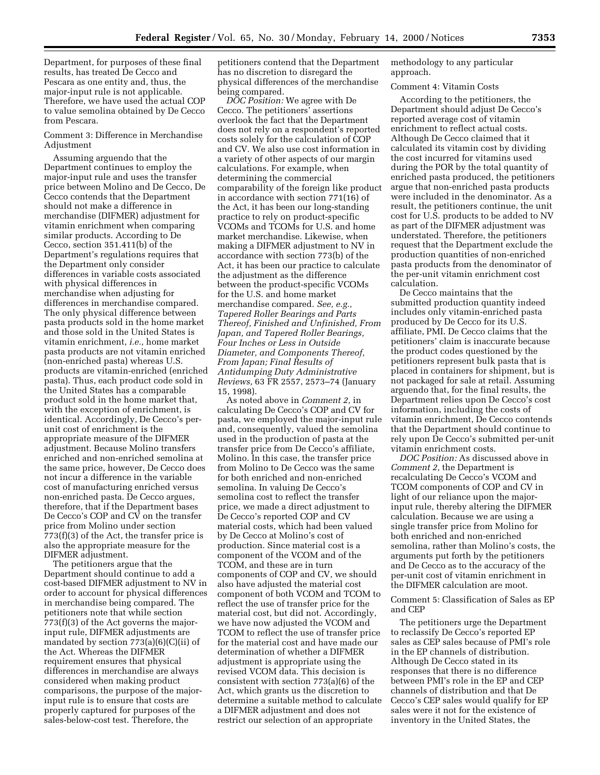Department, for purposes of these final results, has treated De Cecco and Pescara as one entity and, thus, the major-input rule is not applicable. Therefore, we have used the actual COP to value semolina obtained by De Cecco from Pescara.

Comment 3: Difference in Merchandise Adjustment

Assuming arguendo that the Department continues to employ the major-input rule and uses the transfer price between Molino and De Cecco, De Cecco contends that the Department should not make a difference in merchandise (DIFMER) adjustment for vitamin enrichment when comparing similar products. According to De Cecco, section 351.411(b) of the Department's regulations requires that the Department only consider differences in variable costs associated with physical differences in merchandise when adjusting for differences in merchandise compared. The only physical difference between pasta products sold in the home market and those sold in the United States is vitamin enrichment, *i.e.,* home market pasta products are not vitamin enriched (non-enriched pasta) whereas U.S. products are vitamin-enriched (enriched pasta). Thus, each product code sold in the United States has a comparable product sold in the home market that, with the exception of enrichment, is identical. Accordingly, De Cecco's perunit cost of enrichment is the appropriate measure of the DIFMER adjustment. Because Molino transfers enriched and non-enriched semolina at the same price, however, De Cecco does not incur a difference in the variable cost of manufacturing enriched versus non-enriched pasta. De Cecco argues, therefore, that if the Department bases De Cecco's COP and CV on the transfer price from Molino under section 773(f)(3) of the Act, the transfer price is also the appropriate measure for the DIFMER adjustment.

The petitioners argue that the Department should continue to add a cost-based DIFMER adjustment to NV in order to account for physical differences in merchandise being compared. The petitioners note that while section 773(f)(3) of the Act governs the majorinput rule, DIFMER adjustments are mandated by section 773(a)(6)(C)(ii) of the Act. Whereas the DIFMER requirement ensures that physical differences in merchandise are always considered when making product comparisons, the purpose of the majorinput rule is to ensure that costs are properly captured for purposes of the sales-below-cost test. Therefore, the

petitioners contend that the Department has no discretion to disregard the physical differences of the merchandise being compared.

*DOC Position:* We agree with De Cecco. The petitioners' assertions overlook the fact that the Department does not rely on a respondent's reported costs solely for the calculation of COP and CV. We also use cost information in a variety of other aspects of our margin calculations. For example, when determining the commercial comparability of the foreign like product in accordance with section 771(16) of the Act, it has been our long-standing practice to rely on product-specific VCOMs and TCOMs for U.S. and home market merchandise. Likewise, when making a DIFMER adjustment to NV in accordance with section 773(b) of the Act, it has been our practice to calculate the adjustment as the difference between the product-specific VCOMs for the U.S. and home market merchandise compared. *See, e.g., Tapered Roller Bearings and Parts Thereof, Finished and Unfinished, From Japan, and Tapered Roller Bearings, Four Inches or Less in Outside Diameter, and Components Thereof, From Japan; Final Results of Antidumping Duty Administrative Reviews,* 63 FR 2557, 2573–74 (January 15, 1998).

As noted above in *Comment 2,* in calculating De Cecco's COP and CV for pasta, we employed the major-input rule and, consequently, valued the semolina used in the production of pasta at the transfer price from De Cecco's affiliate, Molino. In this case, the transfer price from Molino to De Cecco was the same for both enriched and non-enriched semolina. In valuing De Cecco's semolina cost to reflect the transfer price, we made a direct adjustment to De Cecco's reported COP and CV material costs, which had been valued by De Cecco at Molino's cost of production. Since material cost is a component of the VCOM and of the TCOM, and these are in turn components of COP and CV, we should also have adjusted the material cost component of both VCOM and TCOM to reflect the use of transfer price for the material cost, but did not. Accordingly, we have now adjusted the VCOM and TCOM to reflect the use of transfer price for the material cost and have made our determination of whether a DIFMER adjustment is appropriate using the revised VCOM data. This decision is consistent with section 773(a)(6) of the Act, which grants us the discretion to determine a suitable method to calculate a DIFMER adjustment and does not restrict our selection of an appropriate

methodology to any particular approach.

#### Comment 4: Vitamin Costs

According to the petitioners, the Department should adjust De Cecco's reported average cost of vitamin enrichment to reflect actual costs. Although De Cecco claimed that it calculated its vitamin cost by dividing the cost incurred for vitamins used during the POR by the total quantity of enriched pasta produced, the petitioners argue that non-enriched pasta products were included in the denominator. As a result, the petitioners continue, the unit cost for U.S. products to be added to NV as part of the DIFMER adjustment was understated. Therefore, the petitioners request that the Department exclude the production quantities of non-enriched pasta products from the denominator of the per-unit vitamin enrichment cost calculation.

De Cecco maintains that the submitted production quantity indeed includes only vitamin-enriched pasta produced by De Cecco for its U.S. affiliate, PMI. De Cecco claims that the petitioners' claim is inaccurate because the product codes questioned by the petitioners represent bulk pasta that is placed in containers for shipment, but is not packaged for sale at retail. Assuming arguendo that, for the final results, the Department relies upon De Cecco's cost information, including the costs of vitamin enrichment, De Cecco contends that the Department should continue to rely upon De Cecco's submitted per-unit vitamin enrichment costs.

*DOC Position:* As discussed above in *Comment 2,* the Department is recalculating De Cecco's VCOM and TCOM components of COP and CV in light of our reliance upon the majorinput rule, thereby altering the DIFMER calculation. Because we are using a single transfer price from Molino for both enriched and non-enriched semolina, rather than Molino's costs, the arguments put forth by the petitioners and De Cecco as to the accuracy of the per-unit cost of vitamin enrichment in the DIFMER calculation are moot.

Comment 5: Classification of Sales as EP and CEP

The petitioners urge the Department to reclassify De Cecco's reported EP sales as CEP sales because of PMI's role in the EP channels of distribution. Although De Cecco stated in its responses that there is no difference between PMI's role in the EP and CEP channels of distribution and that De Cecco's CEP sales would qualify for EP sales were it not for the existence of inventory in the United States, the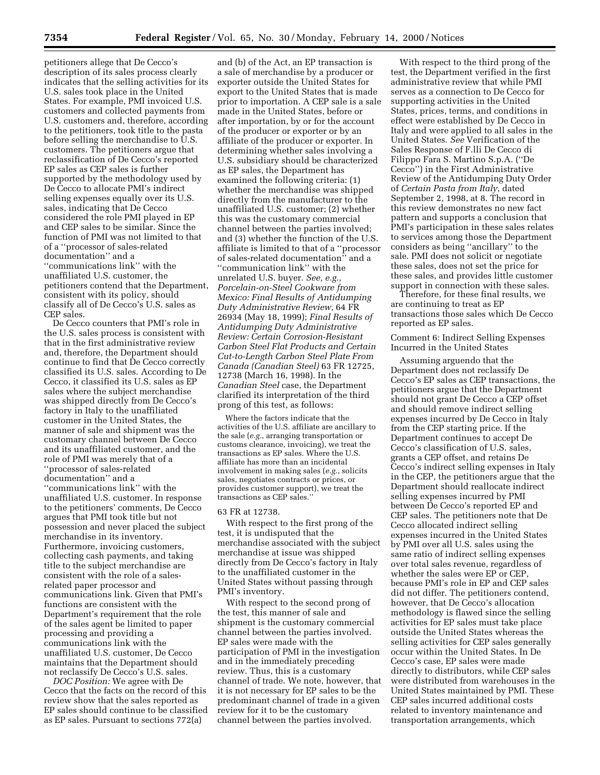petitioners allege that De Cecco's description of its sales process clearly indicates that the selling activities for its U.S. sales took place in the United States. For example, PMI invoiced U.S. customers and collected payments from U.S. customers and, therefore, according to the petitioners, took title to the pasta before selling the merchandise to U.S. customers. The petitioners argue that reclassification of De Cecco's reported EP sales as CEP sales is further supported by the methodology used by De Cecco to allocate PMI's indirect selling expenses equally over its U.S. sales, indicating that De Cecco considered the role PMI played in EP and CEP sales to be similar. Since the function of PMI was not limited to that of a ''processor of sales-related documentation'' and a ''communications link'' with the

unaffiliated U.S. customer, the petitioners contend that the Department, consistent with its policy, should classify all of De Cecco's U.S. sales as CEP sales.

De Cecco counters that PMI's role in the U.S. sales process is consistent with that in the first administrative review and, therefore, the Department should continue to find that De Cecco correctly classified its U.S. sales. According to De Cecco, it classified its U.S. sales as EP sales where the subject merchandise was shipped directly from De Cecco's factory in Italy to the unaffiliated customer in the United States, the manner of sale and shipment was the customary channel between De Cecco and its unaffiliated customer, and the role of PMI was merely that of a ''processor of sales-related documentation'' and a ''communications link'' with the unaffiliated U.S. customer. In response to the petitioners' comments, De Cecco argues that PMI took title but not possession and never placed the subject merchandise in its inventory. Furthermore, invoicing customers, collecting cash payments, and taking title to the subject merchandise are consistent with the role of a salesrelated paper processor and communications link. Given that PMI's functions are consistent with the Department's requirement that the role of the sales agent be limited to paper processing and providing a communications link with the unaffiliated U.S. customer, De Cecco maintains that the Department should not reclassify De Cecco's U.S. sales.

*DOC Position:* We agree with De Cecco that the facts on the record of this review show that the sales reported as EP sales should continue to be classified as EP sales. Pursuant to sections 772(a)

and (b) of the Act, an EP transaction is a sale of merchandise by a producer or exporter outside the United States for export to the United States that is made prior to importation. A CEP sale is a sale made in the United States, before or after importation, by or for the account of the producer or exporter or by an affiliate of the producer or exporter. In determining whether sales involving a U.S. subsidiary should be characterized as EP sales, the Department has examined the following criteria: (1) whether the merchandise was shipped directly from the manufacturer to the unaffiliated U.S. customer; (2) whether this was the customary commercial channel between the parties involved; and (3) whether the function of the U.S. affiliate is limited to that of a ''processor of sales-related documentation'' and a ''communication link'' with the unrelated U.S. buyer. *See, e.g., Porcelain-on-Steel Cookware from Mexico: Final Results of Antidumping Duty Administrative Review,* 64 FR 26934 (May 18, 1999); *Final Results of Antidumping Duty Administrative Review: Certain Corrosion-Resistant Carbon Steel Flat Products and Certain Cut-to-Length Carbon Steel Plate From Canada (Canadian Steel)* 63 FR 12725, 12738 (March 16, 1998). In the *Canadian Steel* case, the Department clarified its interpretation of the third prong of this test, as follows:

Where the factors indicate that the activities of the U.S. affiliate are ancillary to the sale (*e.g.*, arranging transportation or customs clearance, invoicing), we treat the transactions as EP sales. Where the U.S. affiliate has more than an incidental involvement in making sales (*e.g.*, solicits sales, negotiates contracts or prices, or provides customer support), we treat the transactions as CEP sales.''

#### 63 FR at 12738.

With respect to the first prong of the test, it is undisputed that the merchandise associated with the subject merchandise at issue was shipped directly from De Cecco's factory in Italy to the unaffiliated customer in the United States without passing through PMI's inventory.

With respect to the second prong of the test, this manner of sale and shipment is the customary commercial channel between the parties involved. EP sales were made with the participation of PMI in the investigation and in the immediately preceding review. Thus, this is a customary channel of trade. We note, however, that it is not necessary for EP sales to be the predominant channel of trade in a given review for it to be the customary channel between the parties involved.

With respect to the third prong of the test, the Department verified in the first administrative review that while PMI serves as a connection to De Cecco for supporting activities in the United States, prices, terms, and conditions in effect were established by De Cecco in Italy and were applied to all sales in the United States. *See* Verification of the Sales Response of F.lli De Cecco di Filippo Fara S. Martino S.p.A. (''De Cecco'') in the First Administrative Review of the Antidumping Duty Order of *Certain Pasta from Italy*, dated September 2, 1998, at 8. The record in this review demonstrates no new fact pattern and supports a conclusion that PMI's participation in these sales relates to services among those the Department considers as being ''ancillary'' to the sale. PMI does not solicit or negotiate these sales, does not set the price for these sales, and provides little customer support in connection with these sales.

Therefore, for these final results, we are continuing to treat as EP transactions those sales which De Cecco reported as EP sales.

Comment 6: Indirect Selling Expenses Incurred in the United States

Assuming arguendo that the Department does not reclassify De Cecco's EP sales as CEP transactions, the petitioners argue that the Department should not grant De Cecco a CEP offset and should remove indirect selling expenses incurred by De Cecco in Italy from the CEP starting price. If the Department continues to accept De Cecco's classification of U.S. sales, grants a CEP offset, and retains De Cecco's indirect selling expenses in Italy in the CEP, the petitioners argue that the Department should reallocate indirect selling expenses incurred by PMI between De Cecco's reported EP and CEP sales. The petitioners note that De Cecco allocated indirect selling expenses incurred in the United States by PMI over all U.S. sales using the same ratio of indirect selling expenses over total sales revenue, regardless of whether the sales were EP or CEP, because PMI's role in EP and CEP sales did not differ. The petitioners contend, however, that De Cecco's allocation methodology is flawed since the selling activities for EP sales must take place outside the United States whereas the selling activities for CEP sales generally occur within the United States. In De Cecco's case, EP sales were made directly to distributors, while CEP sales were distributed from warehouses in the United States maintained by PMI. These CEP sales incurred additional costs related to inventory maintenance and transportation arrangements, which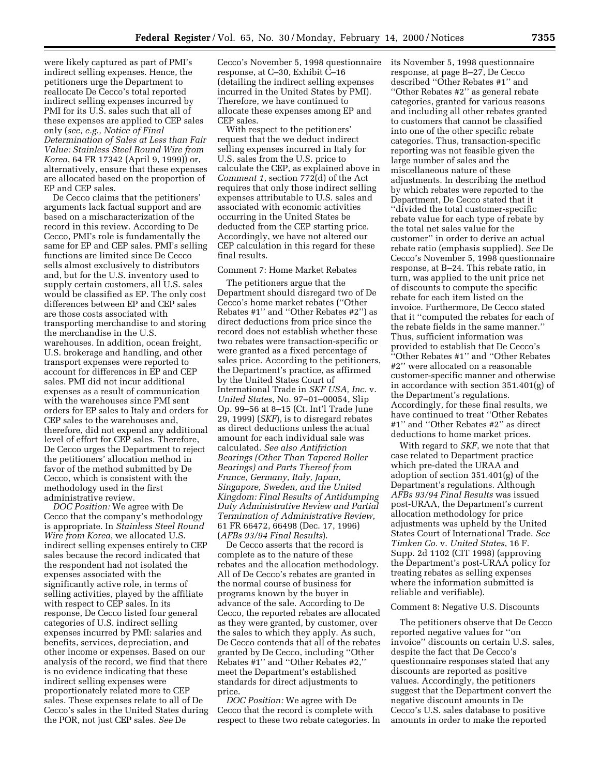were likely captured as part of PMI's indirect selling expenses. Hence, the petitioners urge the Department to reallocate De Cecco's total reported indirect selling expenses incurred by PMI for its U.S. sales such that all of these expenses are applied to CEP sales only (*see, e.g., Notice of Final Determination of Sales at Less than Fair Value: Stainless Steel Round Wire from Korea*, 64 FR 17342 (April 9, 1999)) or, alternatively, ensure that these expenses are allocated based on the proportion of EP and CEP sales.

De Cecco claims that the petitioners' arguments lack factual support and are based on a mischaracterization of the record in this review. According to De Cecco, PMI's role is fundamentally the same for EP and CEP sales. PMI's selling functions are limited since De Cecco sells almost exclusively to distributors and, but for the U.S. inventory used to supply certain customers, all U.S. sales would be classified as EP. The only cost differences between EP and CEP sales are those costs associated with transporting merchandise to and storing the merchandise in the U.S. warehouses. In addition, ocean freight, U.S. brokerage and handling, and other transport expenses were reported to account for differences in EP and CEP sales. PMI did not incur additional expenses as a result of communication with the warehouses since PMI sent orders for EP sales to Italy and orders for CEP sales to the warehouses and, therefore, did not expend any additional level of effort for CEP sales. Therefore, De Cecco urges the Department to reject the petitioners' allocation method in favor of the method submitted by De Cecco, which is consistent with the methodology used in the first administrative review.

*DOC Position:* We agree with De Cecco that the company's methodology is appropriate. In *Stainless Steel Round Wire from Korea*, we allocated U.S. indirect selling expenses entirely to CEP sales because the record indicated that the respondent had not isolated the expenses associated with the significantly active role, in terms of selling activities, played by the affiliate with respect to CEP sales. In its response, De Cecco listed four general categories of U.S. indirect selling expenses incurred by PMI: salaries and benefits, services, depreciation, and other income or expenses. Based on our analysis of the record, we find that there is no evidence indicating that these indirect selling expenses were proportionately related more to CEP sales. These expenses relate to all of De Cecco's sales in the United States during the POR, not just CEP sales. *See* De

Cecco's November 5, 1998 questionnaire response, at C–30, Exhibit C–16 (detailing the indirect selling expenses incurred in the United States by PMI). Therefore, we have continued to allocate these expenses among EP and CEP sales.

With respect to the petitioners' request that the we deduct indirect selling expenses incurred in Italy for U.S. sales from the U.S. price to calculate the CEP, as explained above in *Comment 1*, section 772(d) of the Act requires that only those indirect selling expenses attributable to U.S. sales and associated with economic activities occurring in the United States be deducted from the CEP starting price. Accordingly, we have not altered our CEP calculation in this regard for these final results.

#### Comment 7: Home Market Rebates

The petitioners argue that the Department should disregard two of De Cecco's home market rebates (''Other Rebates #1'' and ''Other Rebates #2'') as direct deductions from price since the record does not establish whether these two rebates were transaction-specific or were granted as a fixed percentage of sales price. According to the petitioners, the Department's practice, as affirmed by the United States Court of International Trade in *SKF USA, Inc.* v. *United States*, No. 97–01–00054, Slip Op. 99–56 at 8–15 (Ct. Int'l Trade June 29, 1999) (*SKF*), is to disregard rebates as direct deductions unless the actual amount for each individual sale was calculated. *See also Antifriction Bearings (Other Than Tapered Roller Bearings) and Parts Thereof from France, Germany, Italy, Japan, Singapore, Sweden, and the United Kingdom: Final Results of Antidumping Duty Administrative Review and Partial Termination of Administrative Review*, 61 FR 66472, 66498 (Dec. 17, 1996) (*AFBs 93/94 Final Results*).

De Cecco asserts that the record is complete as to the nature of these rebates and the allocation methodology. All of De Cecco's rebates are granted in the normal course of business for programs known by the buyer in advance of the sale. According to De Cecco, the reported rebates are allocated as they were granted, by customer, over the sales to which they apply. As such, De Cecco contends that all of the rebates granted by De Cecco, including ''Other Rebates #1'' and ''Other Rebates #2,'' meet the Department's established standards for direct adjustments to price.

*DOC Position:* We agree with De Cecco that the record is complete with respect to these two rebate categories. In its November 5, 1998 questionnaire response, at page B–27, De Cecco described ''Other Rebates #1'' and ''Other Rebates #2'' as general rebate categories, granted for various reasons and including all other rebates granted to customers that cannot be classified into one of the other specific rebate categories. Thus, transaction-specific reporting was not feasible given the large number of sales and the miscellaneous nature of these adjustments. In describing the method by which rebates were reported to the Department, De Cecco stated that it ''divided the total customer-specific rebate value for each type of rebate by the total net sales value for the customer'' in order to derive an actual rebate ratio (emphasis supplied). *See* De Cecco's November 5, 1998 questionnaire response, at B–24. This rebate ratio, in turn, was applied to the unit price net of discounts to compute the specific rebate for each item listed on the invoice. Furthermore, De Cecco stated that it ''computed the rebates for each of the rebate fields in the same manner.'' Thus, sufficient information was provided to establish that De Cecco's ''Other Rebates #1'' and ''Other Rebates #2'' were allocated on a reasonable customer-specific manner and otherwise in accordance with section 351.401(g) of the Department's regulations. Accordingly, for these final results, we have continued to treat ''Other Rebates #1'' and ''Other Rebates #2'' as direct deductions to home market prices.

With regard to *SKF*, we note that that case related to Department practice which pre-dated the URAA and adoption of section 351.401(g) of the Department's regulations. Although *AFBs 93/94 Final Results* was issued post-URAA, the Department's current allocation methodology for price adjustments was upheld by the United States Court of International Trade. *See Timken Co.* v. *United States*, 16 F. Supp. 2d 1102 (CIT 1998) (approving the Department's post-URAA policy for treating rebates as selling expenses where the information submitted is reliable and verifiable).

## Comment 8: Negative U.S. Discounts

The petitioners observe that De Cecco reported negative values for ''on invoice'' discounts on certain U.S. sales, despite the fact that De Cecco's questionnaire responses stated that any discounts are reported as positive values. Accordingly, the petitioners suggest that the Department convert the negative discount amounts in De Cecco's U.S. sales database to positive amounts in order to make the reported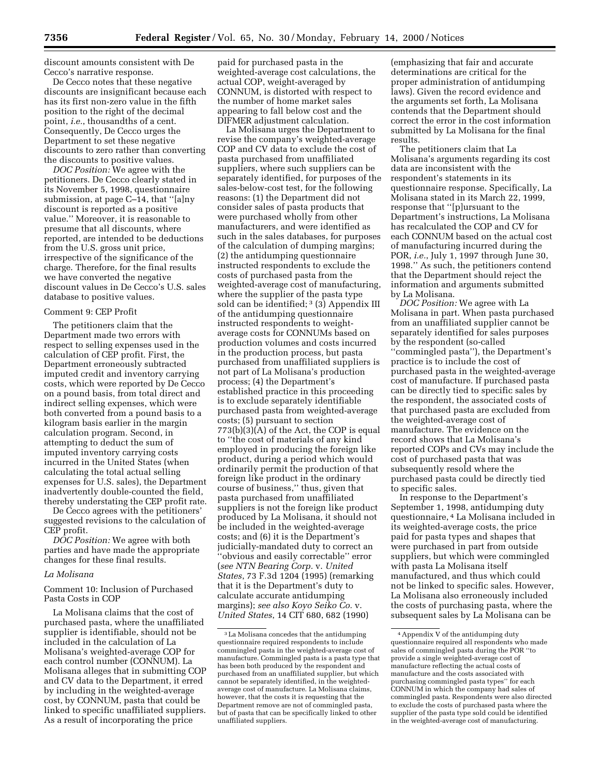discount amounts consistent with De Cecco's narrative response.

De Cecco notes that these negative discounts are insignificant because each has its first non-zero value in the fifth position to the right of the decimal point, *i.e.*, thousandths of a cent. Consequently, De Cecco urges the Department to set these negative discounts to zero rather than converting the discounts to positive values.

*DOC Position:* We agree with the petitioners. De Cecco clearly stated in its November 5, 1998, questionnaire submission, at page C–14, that ''[a]ny discount is reported as a positive value.'' Moreover, it is reasonable to presume that all discounts, where reported, are intended to be deductions from the U.S. gross unit price, irrespective of the significance of the charge. Therefore, for the final results we have converted the negative discount values in De Cecco's U.S. sales database to positive values.

## Comment 9: CEP Profit

The petitioners claim that the Department made two errors with respect to selling expenses used in the calculation of CEP profit. First, the Department erroneously subtracted imputed credit and inventory carrying costs, which were reported by De Cecco on a pound basis, from total direct and indirect selling expenses, which were both converted from a pound basis to a kilogram basis earlier in the margin calculation program. Second, in attempting to deduct the sum of imputed inventory carrying costs incurred in the United States (when calculating the total actual selling expenses for U.S. sales), the Department inadvertently double-counted the field, thereby understating the CEP profit rate.

De Cecco agrees with the petitioners' suggested revisions to the calculation of CEP profit.

*DOC Position:* We agree with both parties and have made the appropriate changes for these final results.

## *La Molisana*

Comment 10: Inclusion of Purchased Pasta Costs in COP

La Molisana claims that the cost of purchased pasta, where the unaffiliated supplier is identifiable, should not be included in the calculation of La Molisana's weighted-average COP for each control number (CONNUM). La Molisana alleges that in submitting COP and CV data to the Department, it erred by including in the weighted-average cost, by CONNUM, pasta that could be linked to specific unaffiliated suppliers. As a result of incorporating the price

paid for purchased pasta in the weighted-average cost calculations, the actual COP, weight-averaged by CONNUM, is distorted with respect to the number of home market sales appearing to fall below cost and the DIFMER adjustment calculation.

La Molisana urges the Department to revise the company's weighted-average COP and CV data to exclude the cost of pasta purchased from unaffiliated suppliers, where such suppliers can be separately identified, for purposes of the sales-below-cost test, for the following reasons: (1) the Department did not consider sales of pasta products that were purchased wholly from other manufacturers, and were identified as such in the sales databases, for purposes of the calculation of dumping margins; (2) the antidumping questionnaire instructed respondents to exclude the costs of purchased pasta from the weighted-average cost of manufacturing, where the supplier of the pasta type sold can be identified; <sup>3</sup> (3) Appendix III of the antidumping questionnaire instructed respondents to weightaverage costs for CONNUMs based on production volumes and costs incurred in the production process, but pasta purchased from unaffiliated suppliers is not part of La Molisana's production process; (4) the Department's established practice in this proceeding is to exclude separately identifiable purchased pasta from weighted-average costs; (5) pursuant to section 773(b)(3)(A) of the Act, the COP is equal to ''the cost of materials of any kind employed in producing the foreign like product, during a period which would ordinarily permit the production of that foreign like product in the ordinary course of business,'' thus, given that pasta purchased from unaffiliated suppliers is not the foreign like product produced by La Molisana, it should not be included in the weighted-average costs; and (6) it is the Department's judicially-mandated duty to correct an ''obvious and easily correctable'' error (*see NTN Bearing Corp.* v. *United States*, 73 F.3d 1204 (1995) (remarking that it is the Department's duty to calculate accurate antidumping margins); *see also Koyo Seiko Co.* v. *United States*, 14 CIT 680, 682 (1990)

(emphasizing that fair and accurate determinations are critical for the proper administration of antidumping laws). Given the record evidence and the arguments set forth, La Molisana contends that the Department should correct the error in the cost information submitted by La Molisana for the final results.

The petitioners claim that La Molisana's arguments regarding its cost data are inconsistent with the respondent's statements in its questionnaire response. Specifically, La Molisana stated in its March 22, 1999, response that ''[p]ursuant to the Department's instructions, La Molisana has recalculated the COP and CV for each CONNUM based on the actual cost of manufacturing incurred during the POR, *i.e.*, July 1, 1997 through June 30, 1998.'' As such, the petitioners contend that the Department should reject the information and arguments submitted by La Molisana.

*DOC Position:* We agree with La Molisana in part. When pasta purchased from an unaffiliated supplier cannot be separately identified for sales purposes by the respondent (so-called ''commingled pasta''), the Department's practice is to include the cost of purchased pasta in the weighted-average cost of manufacture. If purchased pasta can be directly tied to specific sales by the respondent, the associated costs of that purchased pasta are excluded from the weighted-average cost of manufacture. The evidence on the record shows that La Molisana's reported COPs and CVs may include the cost of purchased pasta that was subsequently resold where the purchased pasta could be directly tied to specific sales.

In response to the Department's September 1, 1998, antidumping duty questionnaire, 4 La Molisana included in its weighted-average costs, the price paid for pasta types and shapes that were purchased in part from outside suppliers, but which were commingled with pasta La Molisana itself manufactured, and thus which could not be linked to specific sales. However, La Molisana also erroneously included the costs of purchasing pasta, where the subsequent sales by La Molisana can be

<sup>3</sup>La Molisana concedes that the antidumping questionnaire required respondents to include commingled pasta in the weighted-average cost of manufacture. Commingled pasta is a pasta type that has been both produced by the respondent and purchased from an unaffiliated supplier, but which cannot be separately identified, in the weightedaverage cost of manufacture. La Molisana claims, however, that the costs it is requesting that the Department remove are not of commingled pasta, but of pasta that can be specifically linked to other unaffiliated suppliers.

<sup>4</sup>Appendix V of the antidumping duty questionnaire required all respondents who made sales of commingled pasta during the POR ''to provide a single weighted-average cost of manufacture reflecting the actual costs of manufacture and the costs associated with purchasing commingled pasta types'' for each CONNUM in which the company had sales of commingled pasta. Respondents were also directed to exclude the costs of purchased pasta where the supplier of the pasta type sold could be identified in the weighted-average cost of manufacturing.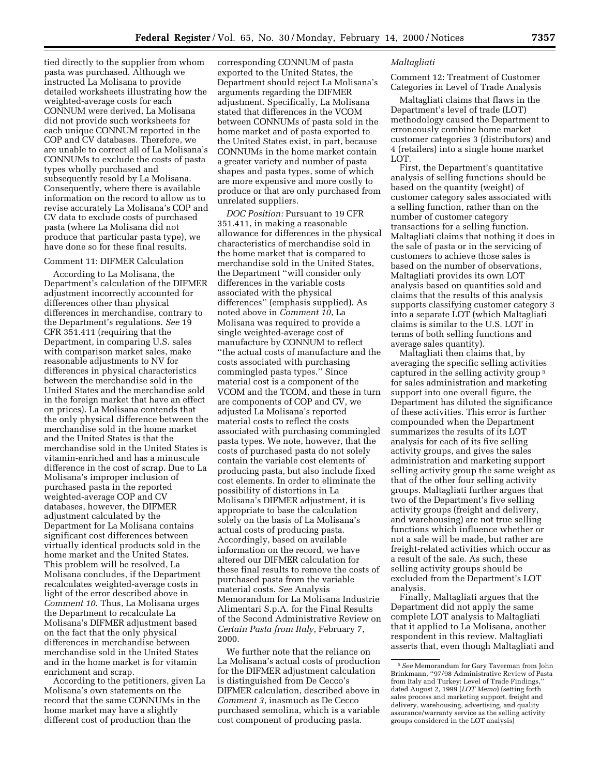tied directly to the supplier from whom pasta was purchased. Although we instructed La Molisana to provide detailed worksheets illustrating how the weighted-average costs for each CONNUM were derived, La Molisana did not provide such worksheets for each unique CONNUM reported in the COP and CV databases. Therefore, we are unable to correct all of La Molisana's CONNUMs to exclude the costs of pasta types wholly purchased and subsequently resold by La Molisana. Consequently, where there is available information on the record to allow us to revise accurately La Molisana's COP and CV data to exclude costs of purchased pasta (where La Molisana did not produce that particular pasta type), we have done so for these final results.

## Comment 11: DIFMER Calculation

According to La Molisana, the Department's calculation of the DIFMER adjustment incorrectly accounted for differences other than physical differences in merchandise, contrary to the Department's regulations. *See* 19 CFR 351.411 (requiring that the Department, in comparing U.S. sales with comparison market sales, make reasonable adjustments to NV for differences in physical characteristics between the merchandise sold in the United States and the merchandise sold in the foreign market that have an effect on prices). La Molisana contends that the only physical difference between the merchandise sold in the home market and the United States is that the merchandise sold in the United States is vitamin-enriched and has a minuscule difference in the cost of scrap. Due to La Molisana's improper inclusion of purchased pasta in the reported weighted-average COP and CV databases, however, the DIFMER adjustment calculated by the Department for La Molisana contains significant cost differences between virtually identical products sold in the home market and the United States. This problem will be resolved, La Molisana concludes, if the Department recalculates weighted-average costs in light of the error described above in *Comment 10*. Thus, La Molisana urges the Department to recalculate La Molisana's DIFMER adjustment based on the fact that the only physical differences in merchandise between merchandise sold in the United States and in the home market is for vitamin enrichment and scrap.

According to the petitioners, given La Molisana's own statements on the record that the same CONNUMs in the home market may have a slightly different cost of production than the

corresponding CONNUM of pasta exported to the United States, the Department should reject La Molisana's arguments regarding the DIFMER adjustment. Specifically, La Molisana stated that differences in the VCOM between CONNUMs of pasta sold in the home market and of pasta exported to the United States exist, in part, because CONNUMs in the home market contain a greater variety and number of pasta shapes and pasta types, some of which are more expensive and more costly to produce or that are only purchased from unrelated suppliers.

*DOC Position:* Pursuant to 19 CFR 351.411, in making a reasonable allowance for differences in the physical characteristics of merchandise sold in the home market that is compared to merchandise sold in the United States, the Department ''will consider only differences in the variable costs associated with the physical differences'' (emphasis supplied). As noted above in *Comment 10*, La Molisana was required to provide a single weighted-average cost of manufacture by CONNUM to reflect ''the actual costs of manufacture and the costs associated with purchasing commingled pasta types.'' Since material cost is a component of the VCOM and the TCOM, and these in turn are components of COP and CV, we adjusted La Molisana's reported material costs to reflect the costs associated with purchasing commingled pasta types. We note, however, that the costs of purchased pasta do not solely contain the variable cost elements of producing pasta, but also include fixed cost elements. In order to eliminate the possibility of distortions in La Molisana's DIFMER adjustment, it is appropriate to base the calculation solely on the basis of La Molisana's actual costs of producing pasta. Accordingly, based on available information on the record, we have altered our DIFMER calculation for these final results to remove the costs of purchased pasta from the variable material costs. *See* Analysis Memorandum for La Molisana Industrie Alimentari S.p.A. for the Final Results of the Second Administrative Review on *Certain Pasta from Italy*, February 7, 2000.

We further note that the reliance on La Molisana's actual costs of production for the DIFMER adjustment calculation is distinguished from De Cecco's DIFMER calculation, described above in *Comment 3*, inasmuch as De Cecco purchased semolina, which is a variable cost component of producing pasta.

#### *Maltagliati*

Comment 12: Treatment of Customer Categories in Level of Trade Analysis

Maltagliati claims that flaws in the Department's level of trade (LOT) methodology caused the Department to erroneously combine home market customer categories 3 (distributors) and 4 (retailers) into a single home market LOT.

First, the Department's quantitative analysis of selling functions should be based on the quantity (weight) of customer category sales associated with a selling function, rather than on the number of customer category transactions for a selling function. Maltagliati claims that nothing it does in the sale of pasta or in the servicing of customers to achieve those sales is based on the number of observations, Maltagliati provides its own LOT analysis based on quantities sold and claims that the results of this analysis supports classifying customer category 3 into a separate LOT (which Maltagliati claims is similar to the U.S. LOT in terms of both selling functions and average sales quantity).

Maltagliati then claims that, by averaging the specific selling activities captured in the selling activity group 5 for sales administration and marketing support into one overall figure, the Department has diluted the significance of these activities. This error is further compounded when the Department summarizes the results of its LOT analysis for each of its five selling activity groups, and gives the sales administration and marketing support selling activity group the same weight as that of the other four selling activity groups. Maltagliati further argues that two of the Department's five selling activity groups (freight and delivery, and warehousing) are not true selling functions which influence whether or not a sale will be made, but rather are freight-related activities which occur as a result of the sale. As such, these selling activity groups should be excluded from the Department's LOT analysis.

Finally, Maltagliati argues that the Department did not apply the same complete LOT analysis to Maltagliati that it applied to La Molisana, another respondent in this review. Maltagliati asserts that, even though Maltagliati and

<sup>5</sup>*See* Memorandum for Gary Taverman from John Brinkmann, ''97/98 Administrative Review of Pasta from Italy and Turkey: Level of Trade Findings,'' dated August 2, 1999 (*LOT Memo*) (setting forth sales process and marketing support, freight and delivery, warehousing, advertising, and quality assurance/warranty service as the selling activity groups considered in the LOT analysis)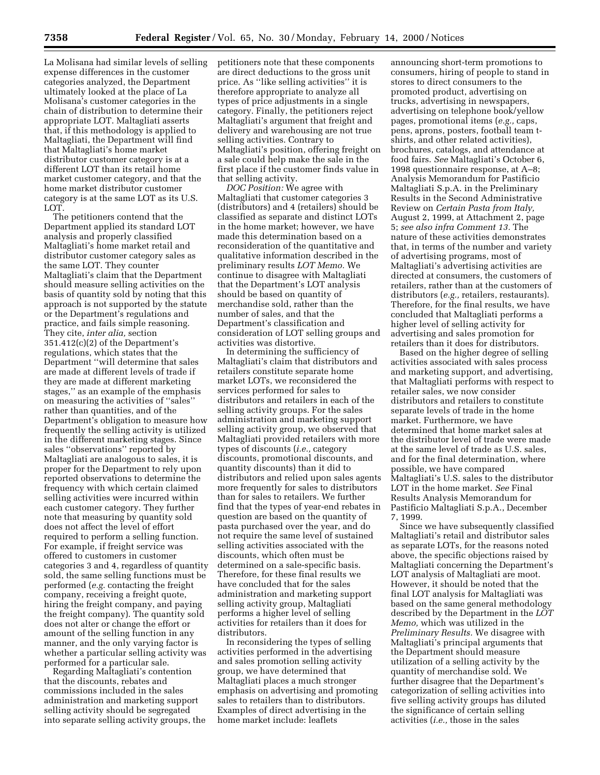La Molisana had similar levels of selling expense differences in the customer categories analyzed, the Department ultimately looked at the place of La Molisana's customer categories in the chain of distribution to determine their appropriate LOT. Maltagliati asserts that, if this methodology is applied to Maltagliati, the Department will find that Maltagliati's home market distributor customer category is at a different LOT than its retail home market customer category, and that the home market distributor customer category is at the same LOT as its U.S. LOT.

The petitioners contend that the Department applied its standard LOT analysis and properly classified Maltagliati's home market retail and distributor customer category sales as the same LOT. They counter Maltagliati's claim that the Department should measure selling activities on the basis of quantity sold by noting that this approach is not supported by the statute or the Department's regulations and practice, and fails simple reasoning. They cite, *inter alia,* section 351.412(c)(2) of the Department's regulations, which states that the Department ''will determine that sales are made at different levels of trade if they are made at different marketing stages,'' as an example of the emphasis on measuring the activities of ''sales'' rather than quantities, and of the Department's obligation to measure how frequently the selling activity is utilized in the different marketing stages. Since sales ''observations'' reported by Maltagliati are analogous to sales, it is proper for the Department to rely upon reported observations to determine the frequency with which certain claimed selling activities were incurred within each customer category. They further note that measuring by quantity sold does not affect the level of effort required to perform a selling function. For example, if freight service was offered to customers in customer categories 3 and 4, regardless of quantity sold, the same selling functions must be performed (*e.g.* contacting the freight company, receiving a freight quote, hiring the freight company, and paying the freight company). The quantity sold does not alter or change the effort or amount of the selling function in any manner, and the only varying factor is whether a particular selling activity was performed for a particular sale.

Regarding Maltagliati's contention that the discounts, rebates and commissions included in the sales administration and marketing support selling activity should be segregated into separate selling activity groups, the petitioners note that these components are direct deductions to the gross unit price. As ''like selling activities'' it is therefore appropriate to analyze all types of price adjustments in a single category. Finally, the petitioners reject Maltagliati's argument that freight and delivery and warehousing are not true selling activities. Contrary to Maltagliati's position, offering freight on a sale could help make the sale in the first place if the customer finds value in that selling activity.

*DOC Position:* We agree with Maltagliati that customer categories 3 (distributors) and 4 (retailers) should be classified as separate and distinct LOTs in the home market; however, we have made this determination based on a reconsideration of the quantitative and qualitative information described in the preliminary results *LOT Memo.* We continue to disagree with Maltagliati that the Department's LOT analysis should be based on quantity of merchandise sold, rather than the number of sales, and that the Department's classification and consideration of LOT selling groups and activities was distortive.

In determining the sufficiency of Maltagliati's claim that distributors and retailers constitute separate home market LOTs, we reconsidered the services performed for sales to distributors and retailers in each of the selling activity groups. For the sales administration and marketing support selling activity group, we observed that Maltagliati provided retailers with more types of discounts (*i.e.,* category discounts, promotional discounts, and quantity discounts) than it did to distributors and relied upon sales agents more frequently for sales to distributors than for sales to retailers. We further find that the types of year-end rebates in question are based on the quantity of pasta purchased over the year, and do not require the same level of sustained selling activities associated with the discounts, which often must be determined on a sale-specific basis. Therefore, for these final results we have concluded that for the sales administration and marketing support selling activity group, Maltagliati performs a higher level of selling activities for retailers than it does for distributors.

In reconsidering the types of selling activities performed in the advertising and sales promotion selling activity group, we have determined that Maltagliati places a much stronger emphasis on advertising and promoting sales to retailers than to distributors. Examples of direct advertising in the home market include: leaflets

announcing short-term promotions to consumers, hiring of people to stand in stores to direct consumers to the promoted product, advertising on trucks, advertising in newspapers, advertising on telephone book/yellow pages, promotional items (*e.g.,* caps, pens, aprons, posters, football team tshirts, and other related activities), brochures, catalogs, and attendance at food fairs. *See* Maltagliati's October 6, 1998 questionnaire response, at A–8; Analysis Memorandum for Pastificio Maltagliati S.p.A. in the Preliminary Results in the Second Administrative Review on *Certain Pasta from Italy,* August 2, 1999, at Attachment 2, page 5; *see also infra Comment 13.* The nature of these activities demonstrates that, in terms of the number and variety of advertising programs, most of Maltagliati's advertising activities are directed at consumers, the customers of retailers, rather than at the customers of distributors (*e.g.,* retailers, restaurants). Therefore, for the final results, we have concluded that Maltagliati performs a higher level of selling activity for advertising and sales promotion for retailers than it does for distributors.

Based on the higher degree of selling activities associated with sales process and marketing support, and advertising, that Maltagliati performs with respect to retailer sales, we now consider distributors and retailers to constitute separate levels of trade in the home market. Furthermore, we have determined that home market sales at the distributor level of trade were made at the same level of trade as U.S. sales, and for the final determination, where possible, we have compared Maltagliati's U.S. sales to the distributor LOT in the home market. *See* Final Results Analysis Memorandum for Pastificio Maltagliati S.p.A., December 7, 1999.

Since we have subsequently classified Maltagliati's retail and distributor sales as separate LOTs, for the reasons noted above, the specific objections raised by Maltagliati concerning the Department's LOT analysis of Maltagliati are moot. However, it should be noted that the final LOT analysis for Maltagliati was based on the same general methodology described by the Department in the *LOT Memo,* which was utilized in the *Preliminary Results.* We disagree with Maltagliati's principal arguments that the Department should measure utilization of a selling activity by the quantity of merchandise sold. We further disagree that the Department's categorization of selling activities into five selling activity groups has diluted the significance of certain selling activities (*i.e.,* those in the sales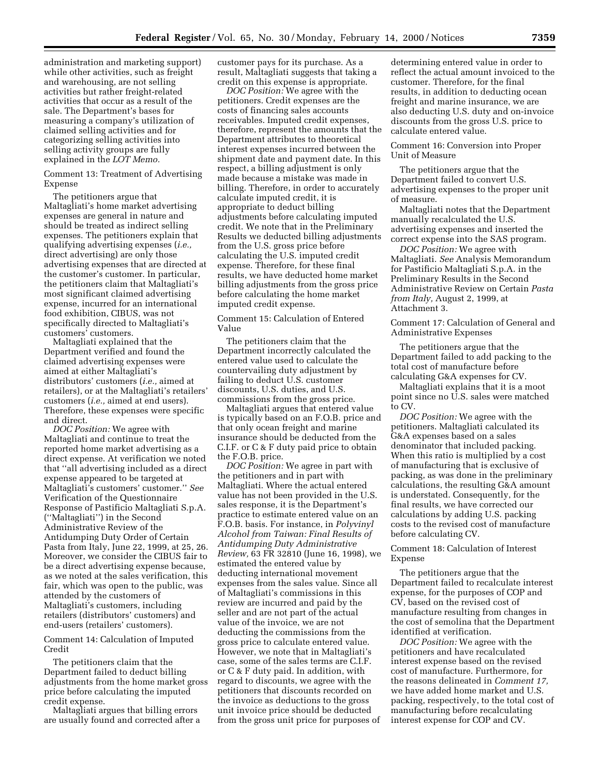administration and marketing support) while other activities, such as freight and warehousing, are not selling activities but rather freight-related activities that occur as a result of the sale. The Department's bases for measuring a company's utilization of claimed selling activities and for categorizing selling activities into selling activity groups are fully explained in the *LOT Memo.*

## Comment 13: Treatment of Advertising Expense

The petitioners argue that Maltagliati's home market advertising expenses are general in nature and should be treated as indirect selling expenses. The petitioners explain that qualifying advertising expenses (*i.e.,* direct advertising) are only those advertising expenses that are directed at the customer's customer. In particular, the petitioners claim that Maltagliati's most significant claimed advertising expense, incurred for an international food exhibition, CIBUS, was not specifically directed to Maltagliati's customers' customers.

Maltagliati explained that the Department verified and found the claimed advertising expenses were aimed at either Maltagliati's distributors' customers (*i.e.,* aimed at retailers), or at the Maltagliati's retailers' customers (*i.e.,* aimed at end users). Therefore, these expenses were specific and direct.

*DOC Position:* We agree with Maltagliati and continue to treat the reported home market advertising as a direct expense. At verification we noted that ''all advertising included as a direct expense appeared to be targeted at Maltagliati's customers' customer.'' *See* Verification of the Questionnaire Response of Pastificio Maltagliati S.p.A. (''Maltagliati'') in the Second Administrative Review of the Antidumping Duty Order of Certain Pasta from Italy, June 22, 1999, at 25, 26. Moreover, we consider the CIBUS fair to be a direct advertising expense because, as we noted at the sales verification, this fair, which was open to the public, was attended by the customers of Maltagliati's customers, including retailers (distributors' customers) and end-users (retailers' customers).

Comment 14: Calculation of Imputed Credit

The petitioners claim that the Department failed to deduct billing adjustments from the home market gross price before calculating the imputed credit expense.

Maltagliati argues that billing errors are usually found and corrected after a customer pays for its purchase. As a result, Maltagliati suggests that taking a credit on this expense is appropriate.

*DOC Position:* We agree with the petitioners. Credit expenses are the costs of financing sales accounts receivables. Imputed credit expenses, therefore, represent the amounts that the Department attributes to theoretical interest expenses incurred between the shipment date and payment date. In this respect, a billing adjustment is only made because a mistake was made in billing. Therefore, in order to accurately calculate imputed credit, it is appropriate to deduct billing adjustments before calculating imputed credit. We note that in the Preliminary Results we deducted billing adjustments from the U.S. gross price before calculating the U.S. imputed credit expense. Therefore, for these final results, we have deducted home market billing adjustments from the gross price before calculating the home market imputed credit expense.

Comment 15: Calculation of Entered Value

The petitioners claim that the Department incorrectly calculated the entered value used to calculate the countervailing duty adjustment by failing to deduct U.S. customer discounts, U.S. duties, and U.S. commissions from the gross price.

Maltagliati argues that entered value is typically based on an F.O.B. price and that only ocean freight and marine insurance should be deducted from the C.I.F. or C & F duty paid price to obtain the F.O.B. price.

*DOC Position:* We agree in part with the petitioners and in part with Maltagliati. Where the actual entered value has not been provided in the U.S. sales response, it is the Department's practice to estimate entered value on an F.O.B. basis. For instance, in *Polyvinyl Alcohol from Taiwan: Final Results of Antidumping Duty Administrative Review,* 63 FR 32810 (June 16, 1998), we estimated the entered value by deducting international movement expenses from the sales value. Since all of Maltagliati's commissions in this review are incurred and paid by the seller and are not part of the actual value of the invoice, we are not deducting the commissions from the gross price to calculate entered value. However, we note that in Maltagliati's case, some of the sales terms are C.I.F. or C & F duty paid. In addition, with regard to discounts, we agree with the petitioners that discounts recorded on the invoice as deductions to the gross unit invoice price should be deducted from the gross unit price for purposes of

determining entered value in order to reflect the actual amount invoiced to the customer. Therefore, for the final results, in addition to deducting ocean freight and marine insurance, we are also deducting U.S. duty and on-invoice discounts from the gross U.S. price to calculate entered value.

Comment 16: Conversion into Proper Unit of Measure

The petitioners argue that the Department failed to convert U.S. advertising expenses to the proper unit of measure.

Maltagliati notes that the Department manually recalculated the U.S. advertising expenses and inserted the correct expense into the SAS program.

*DOC Position:* We agree with Maltagliati. *See* Analysis Memorandum for Pastificio Maltagliati S.p.A. in the Preliminary Results in the Second Administrative Review on Certain *Pasta from Italy,* August 2, 1999, at Attachment 3.

Comment 17: Calculation of General and Administrative Expenses

The petitioners argue that the Department failed to add packing to the total cost of manufacture before calculating G&A expenses for CV.

Maltagliati explains that it is a moot point since no U.S. sales were matched to CV.

*DOC Position:* We agree with the petitioners. Maltagliati calculated its G&A expenses based on a sales denominator that included packing. When this ratio is multiplied by a cost of manufacturing that is exclusive of packing, as was done in the preliminary calculations, the resulting G&A amount is understated. Consequently, for the final results, we have corrected our calculations by adding U.S. packing costs to the revised cost of manufacture before calculating CV.

Comment 18: Calculation of Interest Expense

The petitioners argue that the Department failed to recalculate interest expense, for the purposes of COP and CV, based on the revised cost of manufacture resulting from changes in the cost of semolina that the Department identified at verification.

*DOC Position:* We agree with the petitioners and have recalculated interest expense based on the revised cost of manufacture. Furthermore, for the reasons delineated in *Comment 17,* we have added home market and U.S. packing, respectively, to the total cost of manufacturing before recalculating interest expense for COP and CV.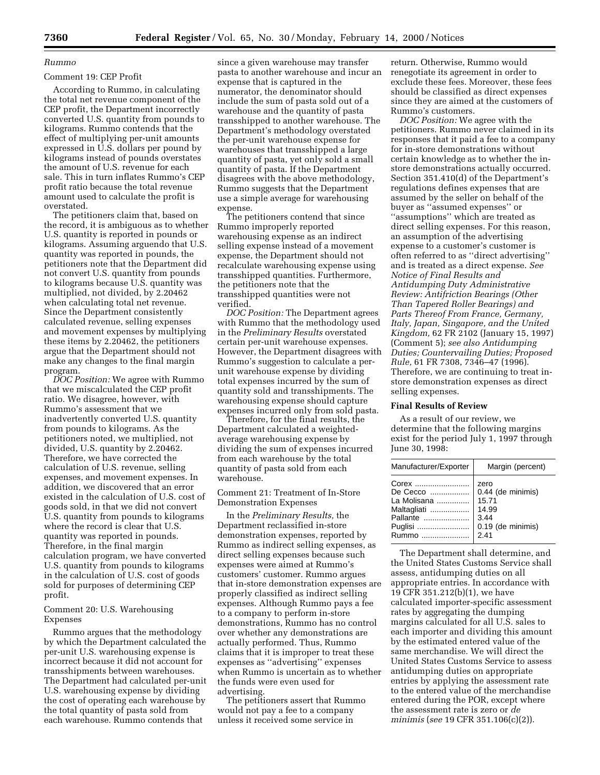## *Rummo*

#### Comment 19: CEP Profit

According to Rummo, in calculating the total net revenue component of the CEP profit, the Department incorrectly converted U.S. quantity from pounds to kilograms. Rummo contends that the effect of multiplying per-unit amounts expressed in U.S. dollars per pound by kilograms instead of pounds overstates the amount of U.S. revenue for each sale. This in turn inflates Rummo's CEP profit ratio because the total revenue amount used to calculate the profit is overstated.

The petitioners claim that, based on the record, it is ambiguous as to whether U.S. quantity is reported in pounds or kilograms. Assuming arguendo that U.S. quantity was reported in pounds, the petitioners note that the Department did not convert U.S. quantity from pounds to kilograms because U.S. quantity was multiplied, not divided, by 2.20462 when calculating total net revenue. Since the Department consistently calculated revenue, selling expenses and movement expenses by multiplying these items by 2.20462, the petitioners argue that the Department should not make any changes to the final margin program.

*DOC Position:* We agree with Rummo that we miscalculated the CEP profit ratio. We disagree, however, with Rummo's assessment that we inadvertently converted U.S. quantity from pounds to kilograms. As the petitioners noted, we multiplied, not divided, U.S. quantity by 2.20462. Therefore, we have corrected the calculation of U.S. revenue, selling expenses, and movement expenses. In addition, we discovered that an error existed in the calculation of U.S. cost of goods sold, in that we did not convert U.S. quantity from pounds to kilograms where the record is clear that U.S. quantity was reported in pounds. Therefore, in the final margin calculation program, we have converted U.S. quantity from pounds to kilograms in the calculation of U.S. cost of goods sold for purposes of determining CEP profit.

Comment 20: U.S. Warehousing Expenses

Rummo argues that the methodology by which the Department calculated the per-unit U.S. warehousing expense is incorrect because it did not account for transshipments between warehouses. The Department had calculated per-unit U.S. warehousing expense by dividing the cost of operating each warehouse by the total quantity of pasta sold from each warehouse. Rummo contends that

since a given warehouse may transfer pasta to another warehouse and incur an expense that is captured in the numerator, the denominator should include the sum of pasta sold out of a warehouse and the quantity of pasta transshipped to another warehouse. The Department's methodology overstated the per-unit warehouse expense for warehouses that transshipped a large quantity of pasta, yet only sold a small quantity of pasta. If the Department disagrees with the above methodology, Rummo suggests that the Department use a simple average for warehousing expense.

The petitioners contend that since Rummo improperly reported warehousing expense as an indirect selling expense instead of a movement expense, the Department should not recalculate warehousing expense using transshipped quantities. Furthermore, the petitioners note that the transshipped quantities were not verified.

*DOC Position:* The Department agrees with Rummo that the methodology used in the *Preliminary Results* overstated certain per-unit warehouse expenses. However, the Department disagrees with Rummo's suggestion to calculate a perunit warehouse expense by dividing total expenses incurred by the sum of quantity sold and transshipments. The warehousing expense should capture expenses incurred only from sold pasta.

Therefore, for the final results, the Department calculated a weightedaverage warehousing expense by dividing the sum of expenses incurred from each warehouse by the total quantity of pasta sold from each warehouse.

Comment 21: Treatment of In-Store Demonstration Expenses

In the *Preliminary Results,* the Department reclassified in-store demonstration expenses, reported by Rummo as indirect selling expenses, as direct selling expenses because such expenses were aimed at Rummo's customers' customer. Rummo argues that in-store demonstration expenses are properly classified as indirect selling expenses. Although Rummo pays a fee to a company to perform in-store demonstrations, Rummo has no control over whether any demonstrations are actually performed. Thus, Rummo claims that it is improper to treat these expenses as ''advertising'' expenses when Rummo is uncertain as to whether the funds were even used for advertising.

The petitioners assert that Rummo would not pay a fee to a company unless it received some service in

return. Otherwise, Rummo would renegotiate its agreement in order to exclude these fees. Moreover, these fees should be classified as direct expenses since they are aimed at the customers of Rummo's customers.

*DOC Position:* We agree with the petitioners. Rummo never claimed in its responses that it paid a fee to a company for in-store demonstrations without certain knowledge as to whether the instore demonstrations actually occurred. Section 351.410(d) of the Department's regulations defines expenses that are assumed by the seller on behalf of the buyer as ''assumed expenses'' or ''assumptions'' which are treated as direct selling expenses. For this reason, an assumption of the advertising expense to a customer's customer is often referred to as ''direct advertising'' and is treated as a direct expense. *See Notice of Final Results and Antidumping Duty Administrative Review: Antifriction Bearings (Other Than Tapered Roller Bearings) and Parts Thereof From France, Germany, Italy, Japan, Singapore, and the United Kingdom,* 62 FR 2102 (January 15, 1997) (Comment 5); *see also Antidumping Duties; Countervailing Duties; Proposed Rule,* 61 FR 7308, 7346–47 (1996). Therefore, we are continuing to treat instore demonstration expenses as direct selling expenses.

#### **Final Results of Review**

As a result of our review, we determine that the following margins exist for the period July 1, 1997 through June 30, 1998:

| Manufacturer/Exporter | Margin (percent)  |
|-----------------------|-------------------|
| Corex                 | zero              |
| De Cecco              | 0.44 (de minimis) |
| La Molisana           | 15.71             |
| Maltagliati           | 14.99             |
| Pallante              | 3.44              |
| Puglisi               | 0.19 (de minimis) |
| Rummo                 | 241               |

The Department shall determine, and the United States Customs Service shall assess, antidumping duties on all appropriate entries. In accordance with 19 CFR 351.212(b)(1), we have calculated importer-specific assessment rates by aggregating the dumping margins calculated for all U.S. sales to each importer and dividing this amount by the estimated entered value of the same merchandise. We will direct the United States Customs Service to assess antidumping duties on appropriate entries by applying the assessment rate to the entered value of the merchandise entered during the POR, except where the assessment rate is zero or *de minimis* (*see* 19 CFR 351.106(c)(2)).